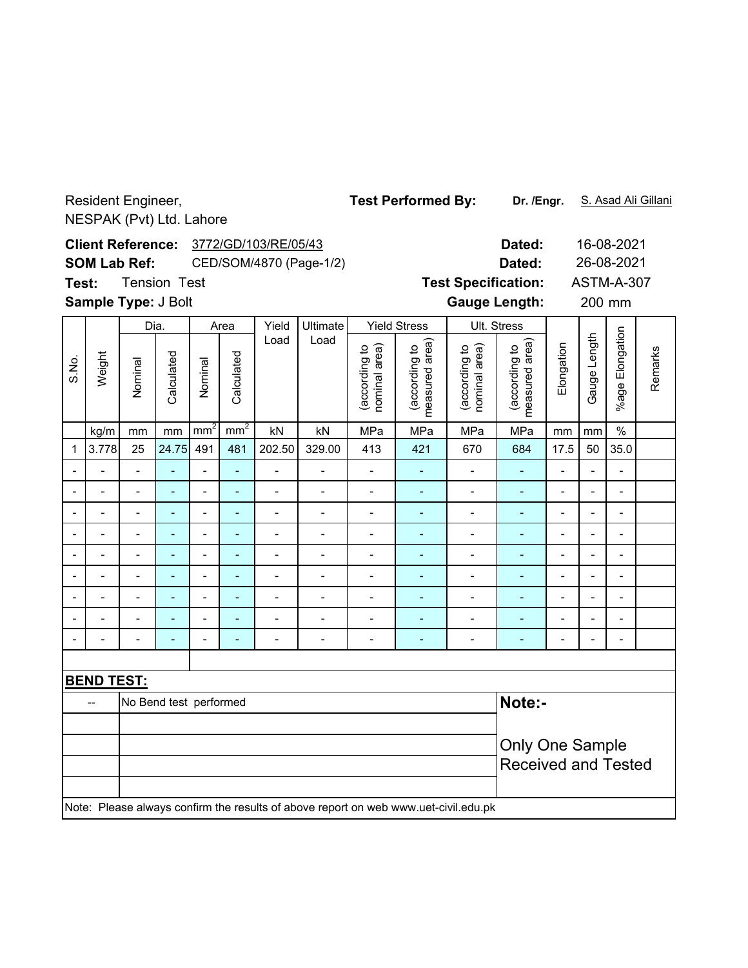Resident Engineer, NESPAK (Pvt) Ltd. Lahore

**Dated:** 16-08-2021 3772/GD/103/RE/05/43 **Client Reference:** 26-08-2021 **SOM Lab Ref:** CED/SOM/4870 (Page-1/2) **Dated:** Tension Test **Test Specification:** ASTM-A-307 **Test: Sample Type:** J Bolt **Cauge Length:** 200 mm 200 mm Dia. Area Yield Ultimate Yield Stress Ult. Stress %age Elongation %age Elongation Load Load (according to<br>measured area) (according to<br>measured area) Gauge Length Gauge Length (according to<br>nominal area) measured area) (according to<br>nominal area) measured area) Elongation (according to (according to (according to (according to nominal area) nominal area) Remarks Remarks Weight Calculated Calculated S.No. Calculated Calculated Nominal Nominal kg/m | mm | mm | mm² | nm² | kN | kN | MPa | MPa | MPa | MPa | mm | mm | % 1 3.778 25 24.75 491 481 202.50 329.00 413 421 670 684 17.5 50 35.0 -- - - - - - - - - - - - -- -- - - - - - - - - - - - -- -- - - - - - - - - - - - -- -- - - - - - - - - - - - -- -- - - - - - - - - - - - -- -- - - - - - - - - - - - -- -- - - - - - - - - - - - -- -- - - - - - - - - - - - -- -- - - - - - - - - - - - -- **BEND TEST:** -- No Bend test performed **Note:-**Only One Sample Received and Tested Note: Please always confirm the results of above report on web www.uet-civil.edu.pk

Test Performed By: Dr. /Engr. S. Asad Ali Gillani

**Dr. /Engr.**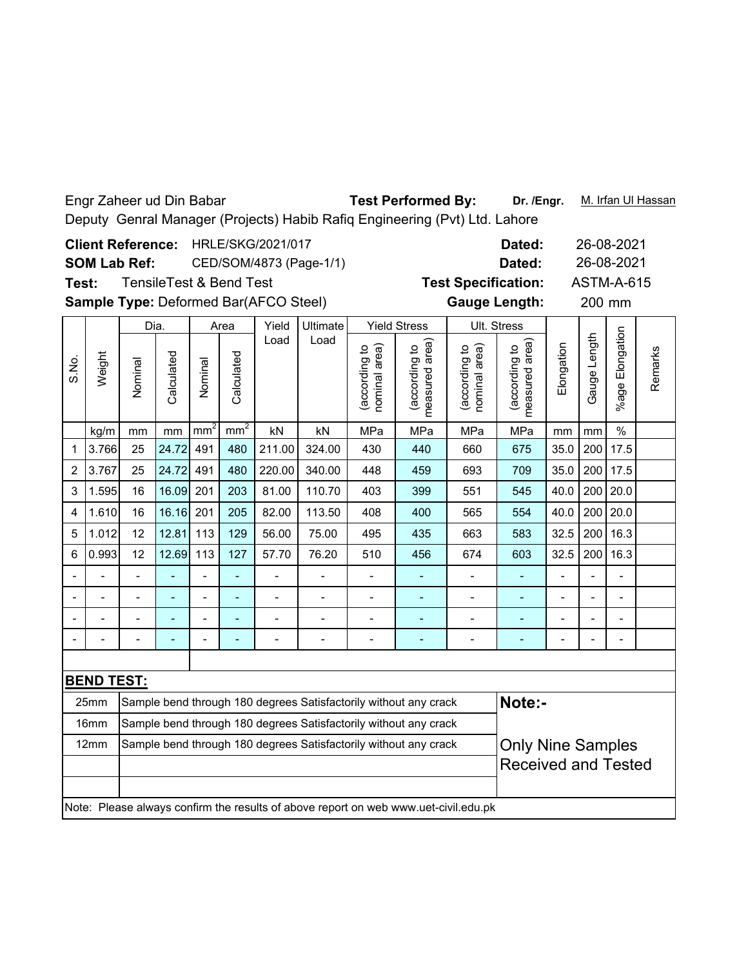Engr Zaheer ud Din Babar Test Performed By: Dr. /Engr. M. Irfan UI Hassan **Dr. /Engr.** Deputy Genral Manager (Projects) Habib Rafiq Engineering (Pvt) Ltd. Lahore **Dated:** 26-08-2021 Client Reference: HRLE/SKG/2021/017 26-08-2021 **SOM Lab Ref:** CED/SOM/4873 (Page-1/1) **Dated: Test Specification:** ASTM-A-615 TensileTest & Bend Test **Test:** Sample Type: Deformed Bar(AFCO Steel) **Cauge Length:** 200 mm **Gauge Length:** 200 mm Yield Stress Dia. Area Yield Ultimate Ult. Stress %age Elongation %age Elongatior Load Load (according to<br>measured area) Gauge Length Gauge Length (according to<br>measured area) (according to<br>nominal area) measured area) (according to<br>nominal area) measured area) **Elongation** (according to (according to (according to (according to nominal area) nominal area) Remarks Remarks Weight Calculated S.No. Calculated Calculated Calculated Nominal Nominal kg/m | mm | mm | mm² | nm² | kN | kN | MPa | MPa | MPa | MPa | mm | mm | % 1 3.766 25 24.72 491 480 211.00 324.00 430 440 660 675 35.0 200 17.5 2 3.767 25 24.72 491 480 220.00 340.00 448 459 693 709 35.0 200 17.5 3 |1.595| 16 |16.09| 201 | 203 | 81.00 | 110.70 | 403 | 399 | 551 | 545 | 40.0 | 200 | 20.0 4 |1.610| 16 |16.16| 201 | 205 | 82.00 | 113.50 | 408 | 400 | 565 | 554 | 40.0 | 200 | 20.0 5 |1.012| 12 |12.81| 113 | 129 | 56.00 | 75.00 | 495 | 435 | 663 | 583 | 32.5 | 200 | 16.3 6 |0.993| 12 |12.69| 113 | 127 | 57.70 | 76.20 | 510 | 456 | 674 | 603 | 32.5 | 200 | 16.3 -- - - - - - - - - - - - -- -- - - - - - - - - - - - -- -- - - - - - - - - - - - -- -- - - - - - - - - - - - -- **BEND TEST:** 25mm  $\, \,$  Sample bend through 180 degrees Satisfactorily without any crack  $\,$  <code>Note:-</code> 16mm Sample bend through 180 degrees Satisfactorily without any crack12mm Sample bend through 180 degrees Satisfactorily without any crack **Only Nine Samples** Received and Tested Note: Please always confirm the results of above report on web www.uet-civil.edu.pk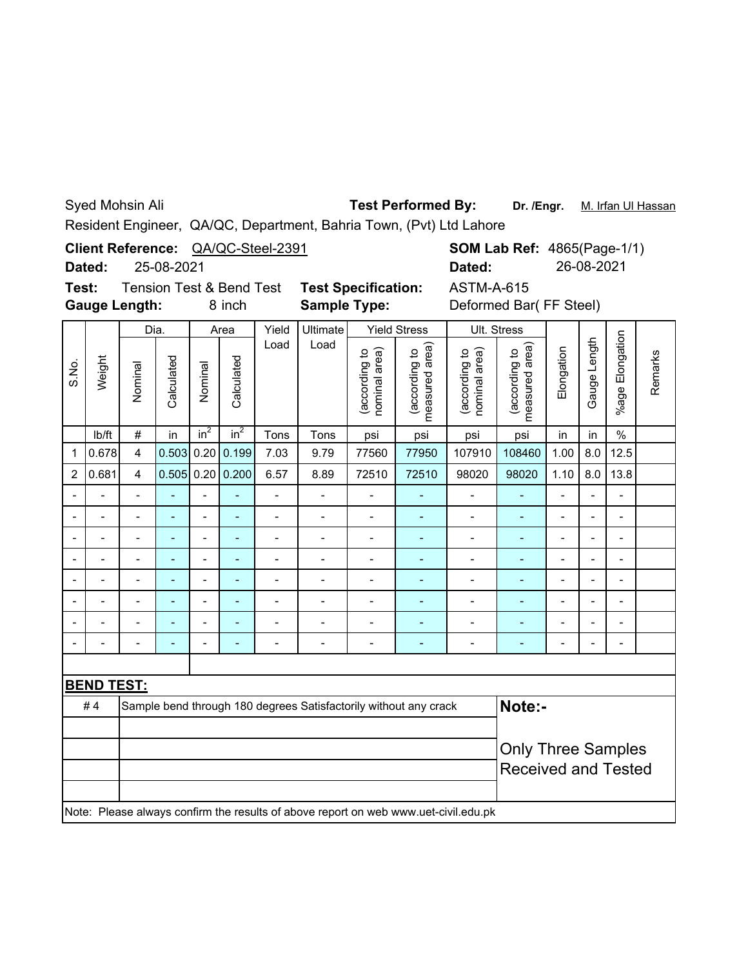Syed Mohsin Ali

## **Test Performed By:**

Dr. /Engr. M. Irfan Ul Hassan

Resident Engineer, QA/QC, Department, Bahria Town, (Pvt) Ltd Lahore

**Client Reference:** QA/QC-Steel-2391

25-08-2021 **Dated:**

**Test:** Tension Test & Bend Test **Test Specification: Gauge Length:**

**Sample Type:**

8 inch **Sample Type:** Deformed Bar( FF Steel) ASTM-A-615

**SOM Lab Ref: 4865(Page-1/1)** 

**Dated:** 26-08-2021

|                | Weight            | Dia.                    |            | Area                     |                    | Yield          | <b>Ultimate</b> |                                | <b>Yield Stress</b>                                                                 |                                | Ult. Stress                     |                           |                |                          |         |
|----------------|-------------------|-------------------------|------------|--------------------------|--------------------|----------------|-----------------|--------------------------------|-------------------------------------------------------------------------------------|--------------------------------|---------------------------------|---------------------------|----------------|--------------------------|---------|
| S.No.          |                   | Nominal                 | Calculated | Nominal                  | Calculated         | Load           | Load            | (according to<br>nominal area) | measured area)<br>(according to                                                     | (according to<br>nominal area) | measured area)<br>(according to | Elongation                | Gauge Length   | Elongation<br>%age l     | Remarks |
|                | Ib/ft             | $\#$                    | in         | in <sup>2</sup>          | in <sup>2</sup>    | Tons           | Tons            | psi                            | psi                                                                                 | psi                            | psi                             | in                        | in             | $\%$                     |         |
| 1              | 0.678             | $\overline{\mathbf{4}}$ | 0.503      | 0.20                     | 0.199              | 7.03           | 9.79            | 77560                          | 77950                                                                               | 107910                         | 108460                          | 1.00                      | 8.0            | 12.5                     |         |
| $\overline{2}$ | 0.681             | $\overline{\mathbf{4}}$ |            |                          | $0.505$ 0.20 0.200 | 6.57           | 8.89            | 72510                          | 72510                                                                               | 98020                          | 98020                           | 1.10                      | 8.0            | 13.8                     |         |
|                |                   |                         |            | $\overline{\phantom{0}}$ | L                  | $\overline{a}$ |                 | Ĭ.                             |                                                                                     |                                |                                 |                           | $\overline{a}$ | $\overline{\phantom{0}}$ |         |
|                |                   |                         |            | $\overline{a}$           | $\overline{a}$     | $\blacksquare$ |                 | ۰                              | ۳                                                                                   | $\blacksquare$                 | ÷                               |                           | $\overline{a}$ | ۰                        |         |
|                |                   |                         |            |                          |                    |                |                 |                                |                                                                                     |                                |                                 |                           |                |                          |         |
|                |                   |                         |            | $\blacksquare$           |                    |                |                 | ۳                              |                                                                                     |                                |                                 |                           | ۳              | ۰                        |         |
|                |                   |                         |            | $\overline{a}$           |                    |                |                 |                                |                                                                                     |                                |                                 |                           | L              |                          |         |
|                |                   |                         |            | $\blacksquare$           |                    |                |                 |                                |                                                                                     |                                |                                 |                           | Ĭ.             | $\blacksquare$           |         |
|                |                   |                         |            | $\blacksquare$           | ۳                  |                |                 |                                |                                                                                     |                                |                                 |                           | $\blacksquare$ | $\blacksquare$           |         |
| -              |                   |                         |            | -                        |                    |                |                 |                                | ۰                                                                                   | $\blacksquare$                 | ۰                               | $\blacksquare$            | $\overline{a}$ | ۰                        |         |
|                |                   |                         |            |                          |                    |                |                 |                                |                                                                                     |                                |                                 |                           |                |                          |         |
|                | <b>BEND TEST:</b> |                         |            |                          |                    |                |                 |                                |                                                                                     |                                |                                 |                           |                |                          |         |
|                | #4                |                         |            |                          |                    |                |                 |                                | Sample bend through 180 degrees Satisfactorily without any crack                    |                                | Note:-                          |                           |                |                          |         |
|                |                   |                         |            |                          |                    |                |                 |                                |                                                                                     |                                |                                 |                           |                |                          |         |
|                |                   |                         |            |                          |                    |                |                 |                                |                                                                                     |                                |                                 | <b>Only Three Samples</b> |                |                          |         |
|                |                   |                         |            |                          |                    |                |                 |                                |                                                                                     |                                | <b>Received and Tested</b>      |                           |                |                          |         |
|                |                   |                         |            |                          |                    |                |                 |                                |                                                                                     |                                |                                 |                           |                |                          |         |
|                |                   |                         |            |                          |                    |                |                 |                                | Note: Please always confirm the results of above report on web www.uet-civil.edu.pk |                                |                                 |                           |                |                          |         |
|                |                   |                         |            |                          |                    |                |                 |                                |                                                                                     |                                |                                 |                           |                |                          |         |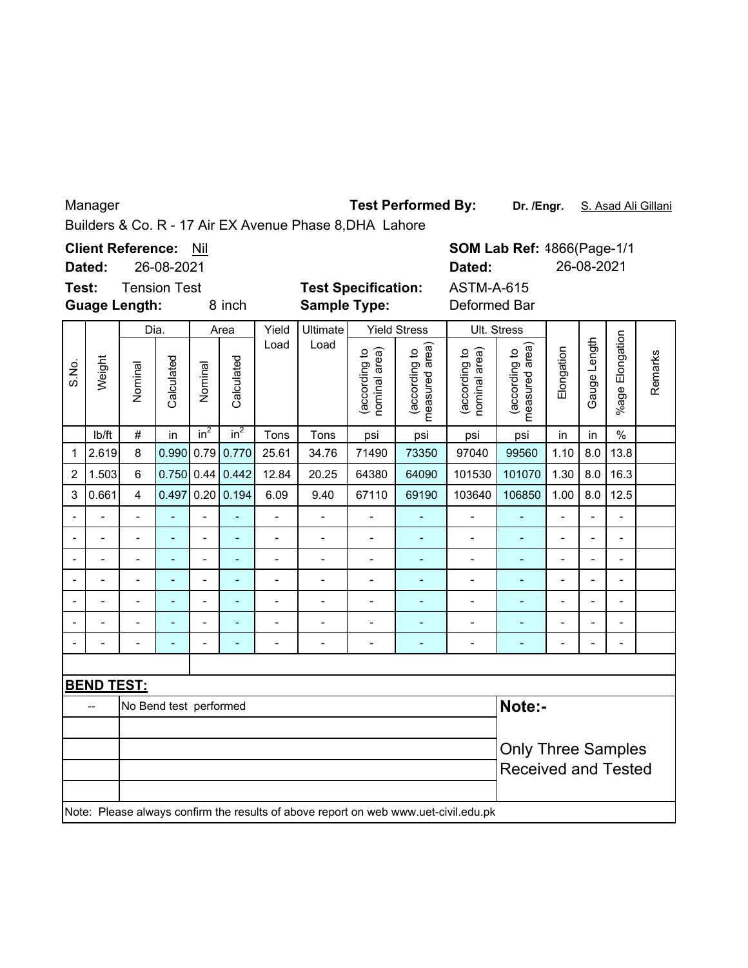Manager

**Test Performed By:**

**Dr. /Engr.** S. Asad Ali Gillani

Builders & Co. R - 17 Air EX Avenue Phase 8,DHA Lahore

**SOM Lab Ref:** 4866(Page-1/1 **Client Reference: Nil Dated:** 26-08-2021 **Dated:** 26-08-2021 **Test:** Tension Test **Test Specification:** ASTM-A-615 **Guage Length:** 8 inch **Sample Type:** Deformed Bar Dia. Area | Yield | Ultimate | Yield Stress | Ult. Stress Yield Ultimate %age Elongation %age Elongation Gauge Length Load Load (according to<br>measured area) (according to<br>measured area) Gauge Length (according to<br>nominal area) measured area) (according to<br>nominal area) measured area) (according to (according to (according to (according to Elongation nominal area) nominal area) Remarks Weight Remarks Calculated Calculated S.No. Calculated **Calculated** Nominal Nominal lb/ft  $\mid$  #  $\mid$  in  $\mid$  in $^{2}$   $\mid$  in $^{2}$   $\mid$  Tons  $\mid$  Tons  $\mid$  psi  $\mid$  psi  $\mid$  psi  $\mid$  in  $\mid$  in  $\mid$  % 1 2.619 8 0.990 0.79 0.770 25.61 34.76 71490 73350 97040 99560 1.10 8.0 13.8 2 |1.503| 6 |0.750| 0.44| 0.442| 12.84 | 20.25 | 64380 | 64090 | 101530 | 101070 | 1.30 | 8.0 | 16.3 3 |0.661| 4 |0.497|0.20|0.194| 6.09 | 9.40 | 67110 | 69190 | 103640 | 106850 | 1.00 | 8.0 | 12.5 -- - - - - - - - - - - - -- -- - - - - - - - - - - - -- -- - - - - - - - - - - - -- -- - - - - - - - - - - - -- -- - - - - - - - - - - - -- -- - - - - - - - - - - - -- -- - - - - - - - - - - - -- **BEND TEST:** -- No Bend test performed **Note:-** Only Three Samples Received and Tested Note: Please always confirm the results of above report on web www.uet-civil.edu.pk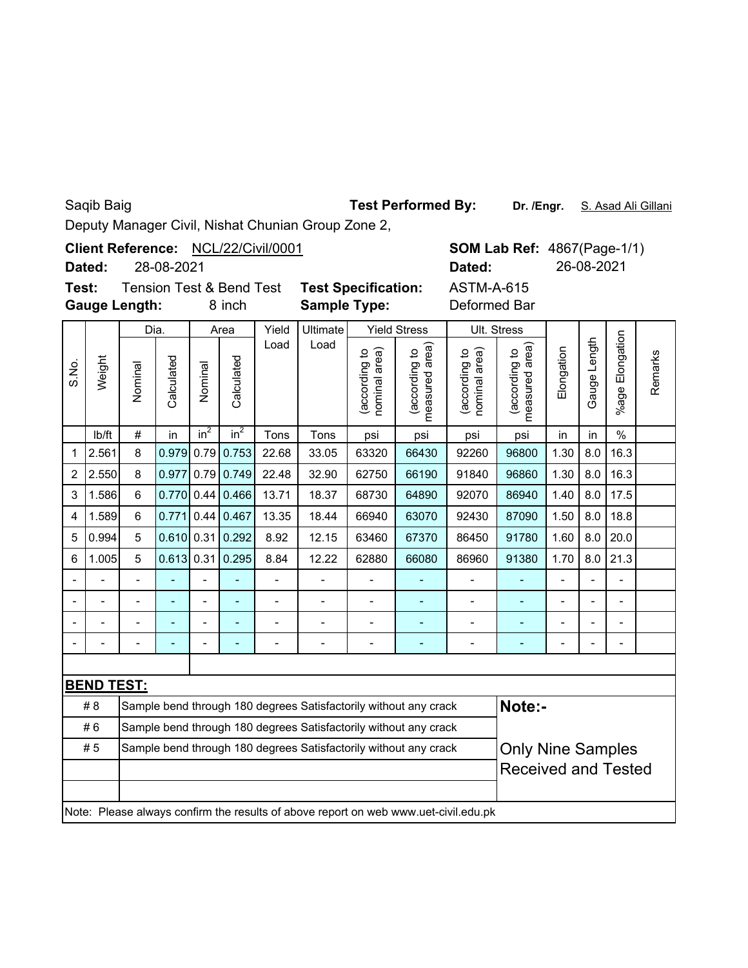|  | Saqib Baig |
|--|------------|
|  |            |

## **Test Performed By:**

**Dr. /Engr.** S. Asad Ali Gillani

Deputy Manager Civil, Nishat Chunian Group Zone 2,

**SOM Lab Ref: 4867(Page-1/1) Dated: Dated:** 26-08-2021 Client Reference: NCL/22/Civil/0001 28-08-2021 **Test:** Tension Test & Bend Test **Test Specification:** ASTM-A-615

**Gauge Length:**

8 inch **Sample Type:** Deformed Bar

|                | Weight            | Dia.           |              | Area            |                | Yield          | Ultimate       |                               | <b>Yield Stress</b>                                                                 |                               | Ult. Stress                     |                          |                |                          |         |
|----------------|-------------------|----------------|--------------|-----------------|----------------|----------------|----------------|-------------------------------|-------------------------------------------------------------------------------------|-------------------------------|---------------------------------|--------------------------|----------------|--------------------------|---------|
| S.No.          |                   | Nominal        | Calculated   | Nominal         | Calculated     | Load           | Load           | according to<br>nominal area) | measured area)<br>(according to                                                     | according to<br>nominal area) | measured area)<br>(according to | Elongation               | Gauge Length   | %age Elongation          | Remarks |
|                | lb/ft             | $\#$           | in           | in <sup>2</sup> | $in^2$         | Tons           | Tons           | psi                           | psi                                                                                 | psi                           | psi                             | in                       | in             | $\%$                     |         |
| 1              | 2.561             | 8              | 0.979        | 0.79            | 0.753          | 22.68          | 33.05          | 63320                         | 66430                                                                               | 92260                         | 96800                           | 1.30                     | 8.0            | 16.3                     |         |
| $\overline{2}$ | 2.550             | 8              | 0.977        | 0.79            | 0.749          | 22.48          | 32.90          | 62750                         | 66190                                                                               | 91840                         | 96860                           | 1.30                     | 8.0            | 16.3                     |         |
| 3              | 1.586             | $6\phantom{1}$ | 0.770        | 0.44            | 0.466          | 13.71          | 18.37          | 68730                         | 64890                                                                               | 92070                         | 86940                           | 1.40                     | 8.0            | 17.5                     |         |
| 4              | 1.589             | 6              | 0.771        | 0.44            | 0.467          | 13.35          | 18.44          | 66940                         | 63070                                                                               | 92430                         | 87090                           | 1.50                     | 8.0            | 18.8                     |         |
| 5              | 0.994             | 5              | $0.610$ 0.31 |                 | 0.292          | 8.92           | 12.15          | 63460                         | 67370                                                                               | 86450                         | 91780                           | 1.60                     | 8.0            | 20.0                     |         |
| 6              | 1.005             | 5              | 0.613        | 0.31            | 0.295          | 8.84           | 12.22          | 62880                         | 66080                                                                               | 86960                         | 91380                           | 1.70                     | 8.0            | 21.3                     |         |
|                |                   | L.             |              | $\blacksquare$  |                | $\overline{a}$ |                |                               |                                                                                     | $\overline{a}$                |                                 | $\blacksquare$           | $\overline{a}$ | $\blacksquare$           |         |
|                |                   |                |              | $\blacksquare$  | $\blacksquare$ | $\blacksquare$ | $\overline{a}$ | $\blacksquare$                | $\overline{\phantom{a}}$                                                            | $\blacksquare$                | $\blacksquare$                  | $\blacksquare$           | $\blacksquare$ | $\blacksquare$           |         |
|                | $\blacksquare$    |                |              | $\blacksquare$  | ÷,             | $\overline{a}$ | $\overline{a}$ | $\overline{\phantom{a}}$      | ÷,                                                                                  |                               |                                 | $\overline{\phantom{0}}$ | $\overline{a}$ | -                        |         |
|                |                   | -              | -            | $\overline{a}$  | ÷,             | $\blacksquare$ | -              | $\overline{\phantom{a}}$      | ÷                                                                                   | -                             | $\overline{\phantom{a}}$        | -                        | $\blacksquare$ | $\overline{\phantom{0}}$ |         |
|                |                   |                |              |                 |                |                |                |                               |                                                                                     |                               |                                 |                          |                |                          |         |
|                | <b>BEND TEST:</b> |                |              |                 |                |                |                |                               |                                                                                     |                               |                                 |                          |                |                          |         |
|                | #8                |                |              |                 |                |                |                |                               | Sample bend through 180 degrees Satisfactorily without any crack                    |                               | Note:-                          |                          |                |                          |         |
|                | #6                |                |              |                 |                |                |                |                               | Sample bend through 180 degrees Satisfactorily without any crack                    |                               |                                 |                          |                |                          |         |
|                | #5                |                |              |                 |                |                |                |                               | Sample bend through 180 degrees Satisfactorily without any crack                    |                               | <b>Only Nine Samples</b>        |                          |                |                          |         |
|                |                   |                |              |                 |                |                |                |                               |                                                                                     | <b>Received and Tested</b>    |                                 |                          |                |                          |         |
|                |                   |                |              |                 |                |                |                |                               |                                                                                     |                               |                                 |                          |                |                          |         |
|                |                   |                |              |                 |                |                |                |                               | Note: Please always confirm the results of above report on web www.uet-civil.edu.pk |                               |                                 |                          |                |                          |         |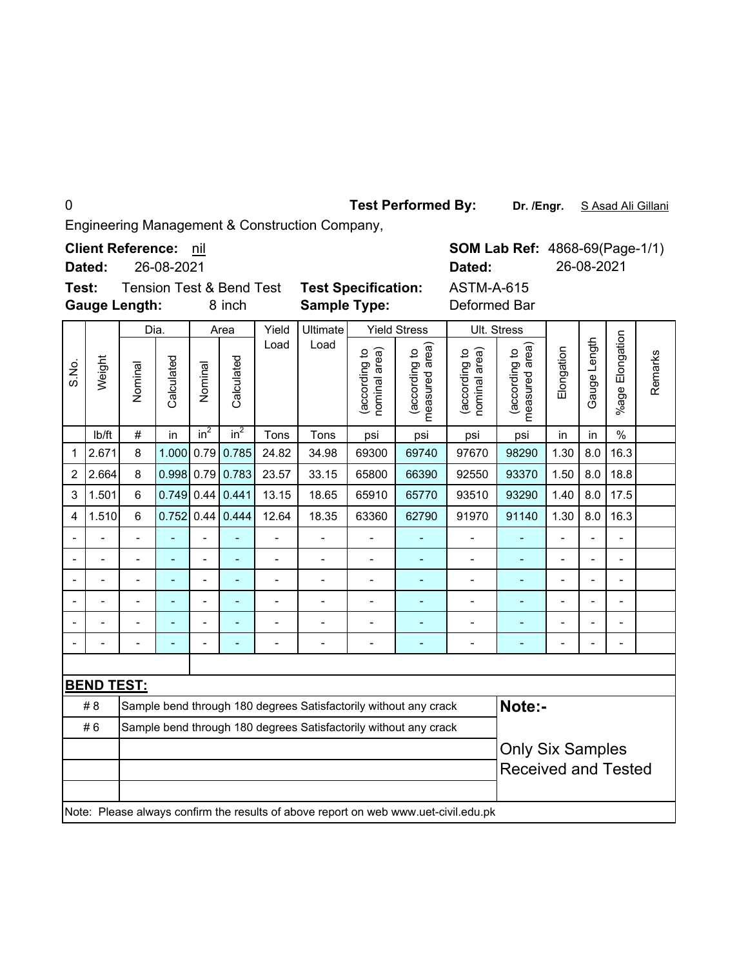**Test Performed By:**

Dr. /Engr. S Asad Ali Gillani

Engineering Management & Construction Company,

**Client Reference:** nil

26-08-2021 **Dated:**

**Test:** Tension Test & Bend Test **Test Specification: Gauge Length:**

8 inch **Sample Type:** Deformed Bar

ASTM-A-615 **Dated:** 26-08-2021

|                |                   | Dia.           |                          | Area           |                          | Yield                    | Ultimate       |                                | <b>Yield Stress</b>                                                                 |                                | Ult. Stress                     |                            |                          |                          |         |  |
|----------------|-------------------|----------------|--------------------------|----------------|--------------------------|--------------------------|----------------|--------------------------------|-------------------------------------------------------------------------------------|--------------------------------|---------------------------------|----------------------------|--------------------------|--------------------------|---------|--|
| S.No.          | Weight            | Nominal        | Calculated               | Nominal        | Calculated               | Load                     | Load           | nominal area)<br>(according to | measured area<br>(according to                                                      | nominal area)<br>(according to | measured area)<br>(according to | Elongation                 | Gauge Length             | %age Elongation          | Remarks |  |
|                | Ib/ft             | $\#$           | in                       | $in^2$         | $in^2$                   | Tons                     | Tons           | psi                            | psi                                                                                 | psi                            | psi                             | in                         | in                       | $\%$                     |         |  |
| 1              | 2.671             | 8              | 1.000                    | 0.79           | 0.785                    | 24.82                    | 34.98          | 69300                          | 69740                                                                               | 97670                          | 98290                           | 1.30                       | 8.0                      | 16.3                     |         |  |
| $\overline{2}$ | 2.664             | 8              |                          |                | 0.998 0.79 0.783         | 23.57                    | 33.15          | 65800                          | 66390                                                                               | 92550                          | 93370                           | 1.50                       | 8.0                      | 18.8                     |         |  |
| 3              | 1.501             | 6              |                          |                | $0.749$ 0.44 0.441       | 13.15                    | 18.65          | 65910                          | 65770                                                                               | 93510                          | 93290                           | 1.40                       | 8.0                      | 17.5                     |         |  |
| 4              | 1.510             | $6\phantom{1}$ | 0.752                    | 0.44           | 0.444                    | 12.64                    | 18.35          | 63360                          | 62790                                                                               | 91970                          | 91140                           | 1.30                       | 8.0                      | 16.3                     |         |  |
| Ĭ.             |                   |                | L,                       | $\overline{a}$ | $\overline{\phantom{a}}$ | $\overline{\phantom{0}}$ | $\overline{a}$ | ÷                              |                                                                                     |                                |                                 | -                          | $\overline{\phantom{a}}$ | $\blacksquare$           |         |  |
|                |                   | $\overline{a}$ |                          | $\overline{a}$ | ä,                       | $\overline{\phantom{0}}$ | $\blacksquare$ | L,                             | $\overline{a}$                                                                      | $\blacksquare$                 | $\blacksquare$                  | -                          | $\overline{\phantom{a}}$ | $\blacksquare$           |         |  |
|                | $\overline{a}$    | $\overline{a}$ | $\overline{\phantom{a}}$ | $\blacksquare$ | $\blacksquare$           | $\blacksquare$           | $\overline{a}$ | ÷,                             | $\sim$                                                                              | $\blacksquare$                 | $\blacksquare$                  | $\blacksquare$             | $\overline{a}$           | $\blacksquare$           |         |  |
|                |                   | $\blacksquare$ |                          | $\overline{a}$ | ä,                       | $\overline{a}$           |                |                                |                                                                                     |                                |                                 | $\blacksquare$             | $\overline{a}$           | $\overline{\phantom{0}}$ |         |  |
|                |                   |                |                          |                |                          |                          |                |                                |                                                                                     |                                |                                 |                            |                          |                          |         |  |
|                |                   |                |                          |                |                          |                          |                |                                |                                                                                     |                                |                                 |                            | $\blacksquare$           | $\blacksquare$           |         |  |
|                |                   |                |                          |                |                          |                          |                |                                |                                                                                     |                                |                                 |                            |                          |                          |         |  |
|                | <b>BEND TEST:</b> |                |                          |                |                          |                          |                |                                |                                                                                     |                                |                                 |                            |                          |                          |         |  |
|                | #8                |                |                          |                |                          |                          |                |                                | Sample bend through 180 degrees Satisfactorily without any crack                    |                                | Note:-                          |                            |                          |                          |         |  |
|                | #6                |                |                          |                |                          |                          |                |                                | Sample bend through 180 degrees Satisfactorily without any crack                    |                                |                                 |                            |                          |                          |         |  |
|                |                   |                |                          |                |                          |                          |                |                                |                                                                                     |                                | <b>Only Six Samples</b>         |                            |                          |                          |         |  |
|                |                   |                |                          |                |                          |                          |                |                                |                                                                                     |                                |                                 | <b>Received and Tested</b> |                          |                          |         |  |
|                |                   |                |                          |                |                          |                          |                |                                |                                                                                     |                                |                                 |                            |                          |                          |         |  |
|                |                   |                |                          |                |                          |                          |                |                                | Note: Please always confirm the results of above report on web www.uet-civil.edu.pk |                                |                                 |                            |                          |                          |         |  |

**SOM Lab Ref: 4868-69(Page-1/1)**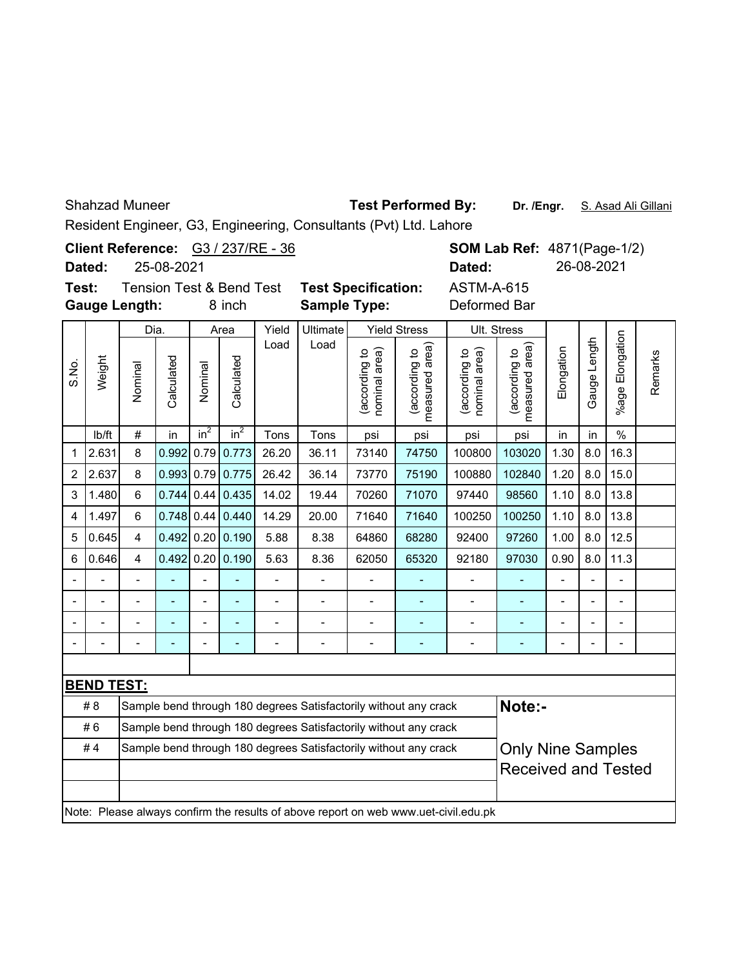Shahzad Muneer

**Dr. /Engr.** S. Asad Ali Gillani **Test Performed By:**

Resident Engineer, G3, Engineering, Consultants (Pvt) Ltd. Lahore

|                                                                                |                                                                                                                          |                |                                                                                                                            |         |                    |                | Resident Engineer, G3, Engineering, Consultants (Pvt) Ltd. Lahore |                                |                                 |                                   |                                 |                |              |                       |         |
|--------------------------------------------------------------------------------|--------------------------------------------------------------------------------------------------------------------------|----------------|----------------------------------------------------------------------------------------------------------------------------|---------|--------------------|----------------|-------------------------------------------------------------------|--------------------------------|---------------------------------|-----------------------------------|---------------------------------|----------------|--------------|-----------------------|---------|
|                                                                                | Client Reference: G3 / 237/RE - 36<br><b>SOM Lab Ref: 4871(Page-1/2)</b><br>25-08-2021<br>26-08-2021<br>Dated:<br>Dated: |                |                                                                                                                            |         |                    |                |                                                                   |                                |                                 |                                   |                                 |                |              |                       |         |
| Test:<br><b>Tension Test &amp; Bend Test</b><br><b>Gauge Length:</b><br>8 inch |                                                                                                                          |                |                                                                                                                            |         |                    |                | <b>Test Specification:</b><br><b>Sample Type:</b>                 |                                |                                 | <b>ASTM-A-615</b><br>Deformed Bar |                                 |                |              |                       |         |
|                                                                                |                                                                                                                          | Dia.           |                                                                                                                            | Area    |                    | Yield          | Ultimate                                                          |                                | <b>Yield Stress</b>             |                                   | Ult. Stress                     |                |              |                       |         |
| S.No.                                                                          | Weight                                                                                                                   | Nominal        | Calculated                                                                                                                 | Nominal | Calculated         | Load           | Load                                                              | nominal area)<br>(according to | measured area)<br>(according to | nominal area)<br>(according to    | (according to<br>measured area) | Elongation     | Gauge Length | Elongation<br>$%$ age | Remarks |
|                                                                                | lb/ft                                                                                                                    | #              | in                                                                                                                         | $in^2$  | in <sup>2</sup>    | Tons           | Tons                                                              | psi                            | psi                             | psi                               | psi                             | in             | in           | $\frac{0}{0}$         |         |
| 1                                                                              | 2.631                                                                                                                    | 8              | 0.992                                                                                                                      | 0.79    | 0.773              | 26.20          | 36.11                                                             | 73140                          | 74750                           | 100800                            | 103020                          | 1.30           | 8.0          | 16.3                  |         |
| $\overline{2}$                                                                 | 2.637                                                                                                                    | 8              | 0.993 0.79                                                                                                                 |         | 0.775              | 26.42          | 36.14                                                             | 73770                          | 75190                           | 100880                            | 102840                          | 1.20           | 8.0          | 15.0                  |         |
| 3                                                                              | 1.480                                                                                                                    | $6\phantom{1}$ | 0.744                                                                                                                      | 0.44    | 0.435              | 14.02          | 19.44                                                             | 70260                          | 71070                           | 97440                             | 98560                           | 1.10           | 8.0          | 13.8                  |         |
| 4                                                                              | 1.497                                                                                                                    | 6              |                                                                                                                            |         | $0.748$ 0.44 0.440 | 14.29          | 20.00                                                             | 71640                          | 71640                           | 100250                            | 100250                          | 1.10           | 8.0          | 13.8                  |         |
| 5                                                                              | 0.645                                                                                                                    | 4              | 0.492                                                                                                                      |         | $0.20$ 0.190       | 5.88           | 8.38                                                              | 64860                          | 68280                           | 92400                             | 97260                           | 1.00           | 8.0          | 12.5                  |         |
| 6                                                                              | 0.646                                                                                                                    | $\overline{4}$ | 0.492                                                                                                                      | 0.20    | 0.190              | 5.63           | 8.36                                                              | 62050                          | 65320                           | 92180                             | 97030                           | 0.90           | 8.0          | 11.3                  |         |
|                                                                                |                                                                                                                          | $\blacksquare$ |                                                                                                                            |         |                    | $\blacksquare$ | $\overline{a}$                                                    | $\overline{a}$                 |                                 | $\overline{a}$                    |                                 | $\overline{a}$ |              |                       |         |
|                                                                                |                                                                                                                          |                |                                                                                                                            |         |                    | $\blacksquare$ | $\blacksquare$                                                    | $\overline{a}$                 | ÷,                              | $\blacksquare$                    |                                 |                |              |                       |         |
|                                                                                |                                                                                                                          |                |                                                                                                                            |         |                    | $\blacksquare$ | $\blacksquare$                                                    | $\blacksquare$                 | $\overline{a}$                  | $\overline{\phantom{a}}$          | $\blacksquare$                  |                |              |                       |         |
|                                                                                |                                                                                                                          |                |                                                                                                                            |         |                    | L,             | L                                                                 |                                |                                 | Ĭ.                                |                                 |                |              |                       |         |
|                                                                                |                                                                                                                          |                |                                                                                                                            |         |                    |                |                                                                   |                                |                                 |                                   |                                 |                |              |                       |         |
|                                                                                | <b>BEND TEST:</b>                                                                                                        |                |                                                                                                                            |         |                    |                |                                                                   |                                |                                 |                                   |                                 |                |              |                       |         |
|                                                                                | #8                                                                                                                       |                |                                                                                                                            |         |                    |                | Sample bend through 180 degrees Satisfactorily without any crack  |                                |                                 |                                   | Note:-                          |                |              |                       |         |
|                                                                                | #6                                                                                                                       |                |                                                                                                                            |         |                    |                | Sample bend through 180 degrees Satisfactorily without any crack  |                                |                                 |                                   |                                 |                |              |                       |         |
|                                                                                | #4                                                                                                                       |                | <b>Only Nine Samples</b><br>Sample bend through 180 degrees Satisfactorily without any crack<br><b>Received and Tested</b> |         |                    |                |                                                                   |                                |                                 |                                   |                                 |                |              |                       |         |
|                                                                                | Note: Please always confirm the results of above report on web www.uet-civil.edu.pk                                      |                |                                                                                                                            |         |                    |                |                                                                   |                                |                                 |                                   |                                 |                |              |                       |         |